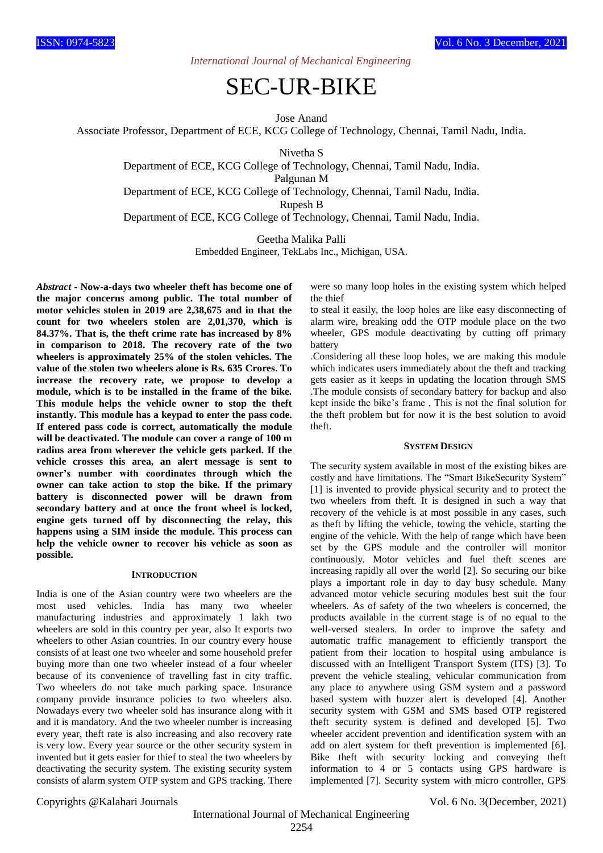*International Journal of Mechanical Engineering*

# SEC-UR-BIKE

Jose Anand

Associate Professor, Department of ECE, KCG College of Technology, Chennai, Tamil Nadu, India.

Nivetha S

Department of ECE, KCG College of Technology, Chennai, Tamil Nadu, India.

Palgunan M

Department of ECE, KCG College of Technology, Chennai, Tamil Nadu, India.

Rupesh B

Department of ECE, KCG College of Technology, Chennai, Tamil Nadu, India.

Geetha Malika Palli

Embedded Engineer, TekLabs Inc., Michigan, USA.

*Abstract* **- Now-a-days two wheeler theft has become one of the major concerns among public. The total number of motor vehicles stolen in 2019 are 2,38,675 and in that the count for two wheelers stolen are 2,01,370, which is 84.37%. That is, the theft crime rate has increased by 8% in comparison to 2018. The recovery rate of the two wheelers is approximately 25% of the stolen vehicles. The value of the stolen two wheelers alone is Rs. 635 Crores. To increase the recovery rate, we propose to develop a module, which is to be installed in the frame of the bike. This module helps the vehicle owner to stop the theft instantly. This module has a keypad to enter the pass code. If entered pass code is correct, automatically the module will be deactivated. The module can cover a range of 100 m radius area from wherever the vehicle gets parked. If the vehicle crosses this area, an alert message is sent to owner's number with coordinates through which the owner can take action to stop the bike. If the primary battery is disconnected power will be drawn from secondary battery and at once the front wheel is locked, engine gets turned off by disconnecting the relay, this happens using a SIM inside the module. This process can help the vehicle owner to recover his vehicle as soon as possible.**

#### **INTRODUCTION**

India is one of the Asian country were two wheelers are the most used vehicles. India has many two wheeler manufacturing industries and approximately 1 lakh two wheelers are sold in this country per year, also It exports two wheelers to other Asian countries. In our country every house consists of at least one two wheeler and some household prefer buying more than one two wheeler instead of a four wheeler because of its convenience of travelling fast in city traffic. Two wheelers do not take much parking space. Insurance company provide insurance policies to two wheelers also. Nowadays every two wheeler sold has insurance along with it and it is mandatory. And the two wheeler number is increasing every year, theft rate is also increasing and also recovery rate is very low. Every year source or the other security system in invented but it gets easier for thief to steal the two wheelers by deactivating the security system. The existing security system consists of alarm system OTP system and GPS tracking. There

were so many loop holes in the existing system which helped the thief

to steal it easily, the loop holes are like easy disconnecting of alarm wire, breaking odd the OTP module place on the two wheeler, GPS module deactivating by cutting off primary battery

.Considering all these loop holes, we are making this module which indicates users immediately about the theft and tracking gets easier as it keeps in updating the location through SMS .The module consists of secondary battery for backup and also kept inside the bike's frame . This is not the final solution for the theft problem but for now it is the best solution to avoid theft.

#### **SYSTEM DESIGN**

The security system available in most of the existing bikes are costly and have limitations. The "Smart BikeSecurity System" [1] is invented to provide physical security and to protect the two wheelers from theft. It is designed in such a way that recovery of the vehicle is at most possible in any cases, such as theft by lifting the vehicle, towing the vehicle, starting the engine of the vehicle. With the help of range which have been set by the GPS module and the controller will monitor continuously. Motor vehicles and fuel theft scenes are increasing rapidly all over the world [2]. So securing our bike plays a important role in day to day busy schedule. Many advanced motor vehicle securing modules best suit the four wheelers. As of safety of the two wheelers is concerned, the products available in the current stage is of no equal to the well-versed stealers. In order to improve the safety and automatic traffic management to efficiently transport the patient from their location to hospital using ambulance is discussed with an Intelligent Transport System (ITS) [3]. To prevent the vehicle stealing, vehicular communication from any place to anywhere using GSM system and a password based system with buzzer alert is developed [4]. Another security system with GSM and SMS based OTP registered theft security system is defined and developed [5]. Two wheeler accident prevention and identification system with an add on alert system for theft prevention is implemented [6]. Bike theft with security locking and conveying theft information to 4 or 5 contacts using GPS hardware is implemented [7]. Security system with micro controller, GPS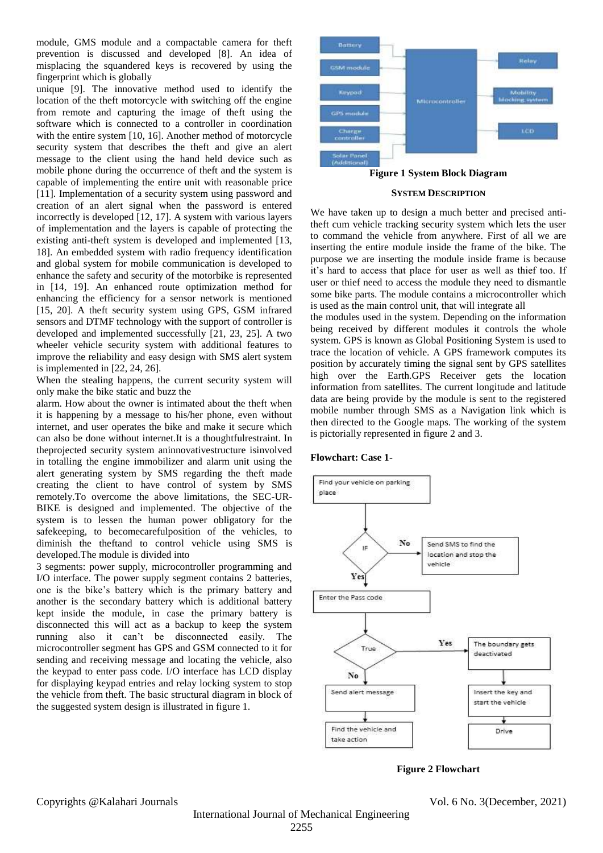module, GMS module and a compactable camera for theft prevention is discussed and developed [8]. An idea of misplacing the squandered keys is recovered by using the fingerprint which is globally

unique [9]. The innovative method used to identify the location of the theft motorcycle with switching off the engine from remote and capturing the image of theft using the software which is connected to a controller in coordination with the entire system [10, 16]. Another method of motorcycle security system that describes the theft and give an alert message to the client using the hand held device such as mobile phone during the occurrence of theft and the system is capable of implementing the entire unit with reasonable price [11]. Implementation of a security system using password and creation of an alert signal when the password is entered incorrectly is developed [12, 17]. A system with various layers of implementation and the layers is capable of protecting the existing anti-theft system is developed and implemented [13, 18]. An embedded system with radio frequency identification and global system for mobile communication is developed to enhance the safety and security of the motorbike is represented in [14, 19]. An enhanced route optimization method for enhancing the efficiency for a sensor network is mentioned [15, 20]. A theft security system using GPS, GSM infrared sensors and DTMF technology with the support of controller is developed and implemented successfully [21, 23, 25]. A two wheeler vehicle security system with additional features to improve the reliability and easy design with SMS alert system is implemented in [22, 24, 26].

When the stealing happens, the current security system will only make the bike static and buzz the

alarm. How about the owner is intimated about the theft when it is happening by a message to his/her phone, even without internet, and user operates the bike and make it secure which can also be done without internet.It is a thoughtfulrestraint. In theprojected security system aninnovativestructure isinvolved in totalling the engine immobilizer and alarm unit using the alert generating system by SMS regarding the theft made creating the client to have control of system by SMS remotely.To overcome the above limitations, the SEC-UR-BIKE is designed and implemented. The objective of the system is to lessen the human power obligatory for the safekeeping, to becomecarefulposition of the vehicles, to diminish the theftand to control vehicle using SMS is developed.The module is divided into

3 segments: power supply, microcontroller programming and I/O interface. The power supply segment contains 2 batteries, one is the bike's battery which is the primary battery and another is the secondary battery which is additional battery kept inside the module, in case the primary battery is disconnected this will act as a backup to keep the system running also it can't be disconnected easily. The microcontroller segment has GPS and GSM connected to it for sending and receiving message and locating the vehicle, also the keypad to enter pass code. I/O interface has LCD display for displaying keypad entries and relay locking system to stop the vehicle from theft. The basic structural diagram in block of the suggested system design is illustrated in figure 1.



### **SYSTEM DESCRIPTION**

We have taken up to design a much better and precised antitheft cum vehicle tracking security system which lets the user to command the vehicle from anywhere. First of all we are inserting the entire module inside the frame of the bike. The purpose we are inserting the module inside frame is because it's hard to access that place for user as well as thief too. If user or thief need to access the module they need to dismantle some bike parts. The module contains a microcontroller which is used as the main control unit, that will integrate all

the modules used in the system. Depending on the information being received by different modules it controls the whole system. GPS is known as Global Positioning System is used to trace the location of vehicle. A GPS framework computes its position by accurately timing the signal sent by GPS satellites high over the Earth.GPS Receiver gets the location information from satellites. The current longitude and latitude data are being provide by the module is sent to the registered mobile number through SMS as a Navigation link which is then directed to the Google maps. The working of the system is pictorially represented in figure 2 and 3.

#### **Flowchart: Case 1-**



**Figure 2 Flowchart**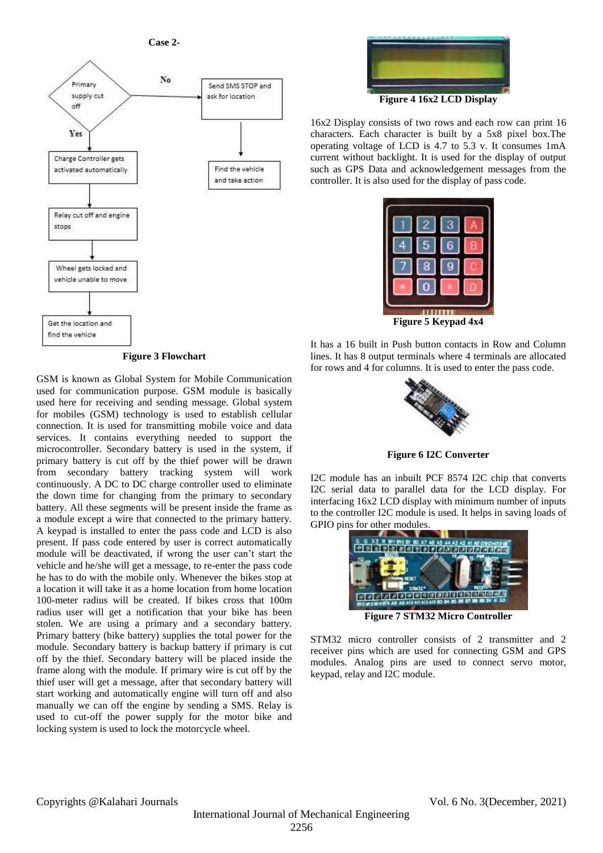**Case 2-**



**Figure 3 Flowchart**

GSM is known as Global System for Mobile Communication used for communication purpose. GSM module is basically used here for receiving and sending message. Global system for mobiles (GSM) technology is used to establish cellular connection. It is used for transmitting mobile voice and data services. It contains everything needed to support the microcontroller. Secondary battery is used in the system, if primary battery is cut off by the thief power will be drawn from secondary battery tracking system will work continuously. A DC to DC charge controller used to eliminate the down time for changing from the primary to secondary battery. All these segments will be present inside the frame as a module except a wire that connected to the primary battery. A keypad is installed to enter the pass code and LCD is also present. If pass code entered by user is correct automatically module will be deactivated, if wrong the user can't start the vehicle and he/she will get a message, to re-enter the pass code he has to do with the mobile only. Whenever the bikes stop at a location it will take it as a home location from home location 100-meter radius will be created. If bikes cross that 100m radius user will get a notification that your bike has been stolen. We are using a primary and a secondary battery. Primary battery (bike battery) supplies the total power for the module. Secondary battery is backup battery if primary is cut off by the thief. Secondary battery will be placed inside the frame along with the module. If primary wire is cut off by the thief user will get a message, after that secondary battery will start working and automatically engine will turn off and also manually we can off the engine by sending a SMS. Relay is used to cut-off the power supply for the motor bike and locking system is used to lock the motorcycle wheel.



16x2 Display consists of two rows and each row can print 16 characters. Each character is built by a 5x8 pixel box.The operating voltage of LCD is 4.7 to 5.3 v. It consumes 1mA current without backlight. It is used for the display of output such as GPS Data and acknowledgement messages from the controller. It is also used for the display of pass code.



It has a 16 built in Push button contacts in Row and Column lines. It has 8 output terminals where 4 terminals are allocated for rows and 4 for columns. It is used to enter the pass code.



**Figure 6 I2C Converter**

I2C module has an inbuilt PCF 8574 I2C chip that converts I2C serial data to parallel data for the LCD display. For interfacing 16x2 LCD display with minimum number of inputs to the controller I2C module is used. It helps in saving loads of GPIO pins for other modules.



STM32 micro controller consists of 2 transmitter and 2 receiver pins which are used for connecting GSM and GPS modules. Analog pins are used to connect servo motor, keypad, relay and I2C module.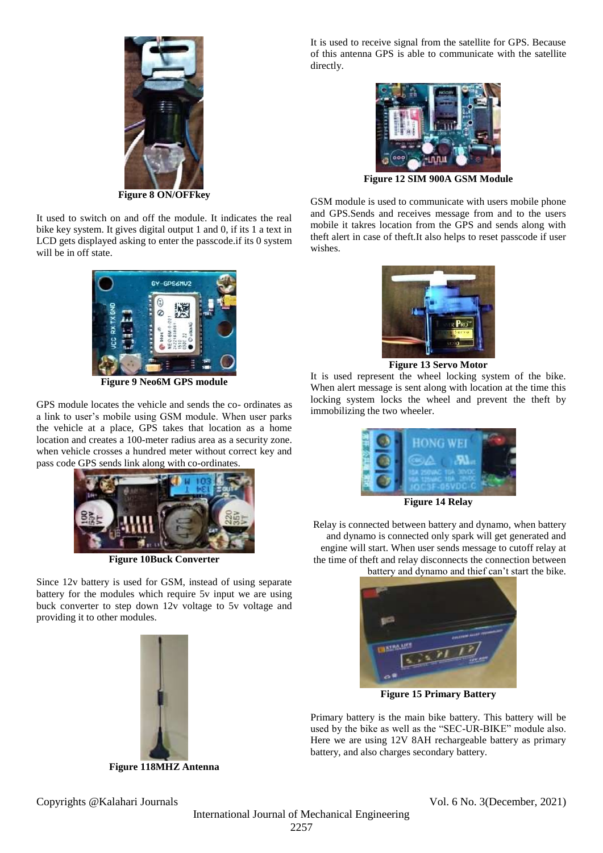

**Figure 8 ON/OFFkey**

It used to switch on and off the module. It indicates the real bike key system. It gives digital output 1 and 0, if its 1 a text in LCD gets displayed asking to enter the passcode.if its 0 system will be in off state.



**Figure 9 Neo6M GPS module**

GPS module locates the vehicle and sends the co- ordinates as a link to user's mobile using GSM module. When user parks the vehicle at a place, GPS takes that location as a home location and creates a 100-meter radius area as a security zone. when vehicle crosses a hundred meter without correct key and pass code GPS sends link along with co-ordinates.



**Figure 10Buck Converter**

Since 12v battery is used for GSM, instead of using separate battery for the modules which require 5v input we are using buck converter to step down 12v voltage to 5v voltage and providing it to other modules.



**Figure 118MHZ Antenna**

It is used to receive signal from the satellite for GPS. Because of this antenna GPS is able to communicate with the satellite directly.



**Figure 12 SIM 900A GSM Module**

GSM module is used to communicate with users mobile phone and GPS.Sends and receives message from and to the users mobile it takres location from the GPS and sends along with theft alert in case of theft.It also helps to reset passcode if user wishes.



**Figure 13 Servo Motor**

It is used represent the wheel locking system of the bike. When alert message is sent along with location at the time this locking system locks the wheel and prevent the theft by immobilizing the two wheeler.



**Figure 14 Relay**

Relay is connected between battery and dynamo, when battery and dynamo is connected only spark will get generated and engine will start. When user sends message to cutoff relay at the time of theft and relay disconnects the connection between

battery and dynamo and thief can't start the bike.



**Figure 15 Primary Battery**

Primary battery is the main bike battery. This battery will be used by the bike as well as the "SEC-UR-BIKE" module also. Here we are using 12V 8AH rechargeable battery as primary battery, and also charges secondary battery.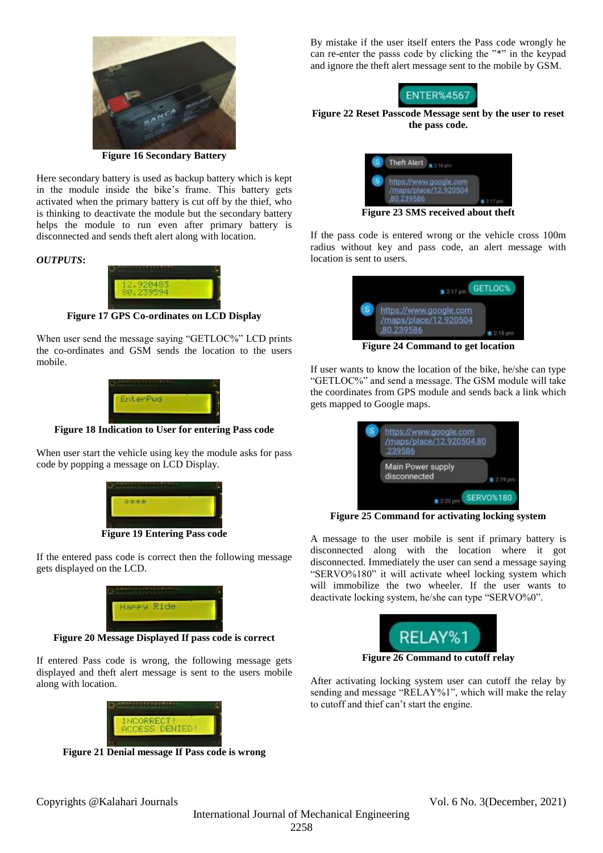

**Figure 16 Secondary Battery**

Here secondary battery is used as backup battery which is kept in the module inside the bike's frame. This battery gets activated when the primary battery is cut off by the thief, who is thinking to deactivate the module but the secondary battery helps the module to run even after primary battery is disconnected and sends theft alert along with location.

### *OUTPUTS***:**



**Figure 17 GPS Co-ordinates on LCD Display**

When user send the message saying "GETLOC%" LCD prints the co-ordinates and GSM sends the location to the users mobile.



**Figure 18 Indication to User for entering Pass code**

When user start the vehicle using key the module asks for pass code by popping a message on LCD Display.



**Figure 19 Entering Pass code**

If the entered pass code is correct then the following message gets displayed on the LCD.



**Figure 20 Message Displayed If pass code is correct**

If entered Pass code is wrong, the following message gets displayed and theft alert message is sent to the users mobile along with location.



**Figure 21 Denial message If Pass code is wrong**

By mistake if the user itself enters the Pass code wrongly he can re-enter the passs code by clicking the "\*" in the keypad and ignore the theft alert message sent to the mobile by GSM.



# **Figure 22 Reset Passcode Message sent by the user to reset the pass code.**



**Figure 23 SMS received about theft**

If the pass code is entered wrong or the vehicle cross 100m radius without key and pass code, an alert message with location is sent to users.

| $247 \text{ nm}$                                             | GETLOC%   |
|--------------------------------------------------------------|-----------|
| https://www.google.com<br>/maps/place/12.920504<br>80.239586 |           |
| Figure 24 Commond to get location                            | 1 2:18 pm |

**Figure 24 Command to get location**

If user wants to know the location of the bike, he/she can type "GETLOC%" and send a message. The GSM module will take the coordinates from GPS module and sends back a link which gets mapped to Google maps.

|  | https://www.google.com<br>/maps/place/12.920504,80<br>239586 |                  |
|--|--------------------------------------------------------------|------------------|
|  | Main Power supply<br>disconnected                            | 7.19 cm          |
|  |                                                              | <b>SERVO%180</b> |

**Figure 25 Command for activating locking system**

A message to the user mobile is sent if primary battery is disconnected along with the location where it got disconnected. Immediately the user can send a message saying "SERVO%180" it will activate wheel locking system which will immobilize the two wheeler. If the user wants to deactivate locking system, he/she can type "SERVO%0".



**Figure 26 Command to cutoff relay**

After activating locking system user can cutoff the relay by sending and message "RELAY%1", which will make the relay to cutoff and thief can't start the engine.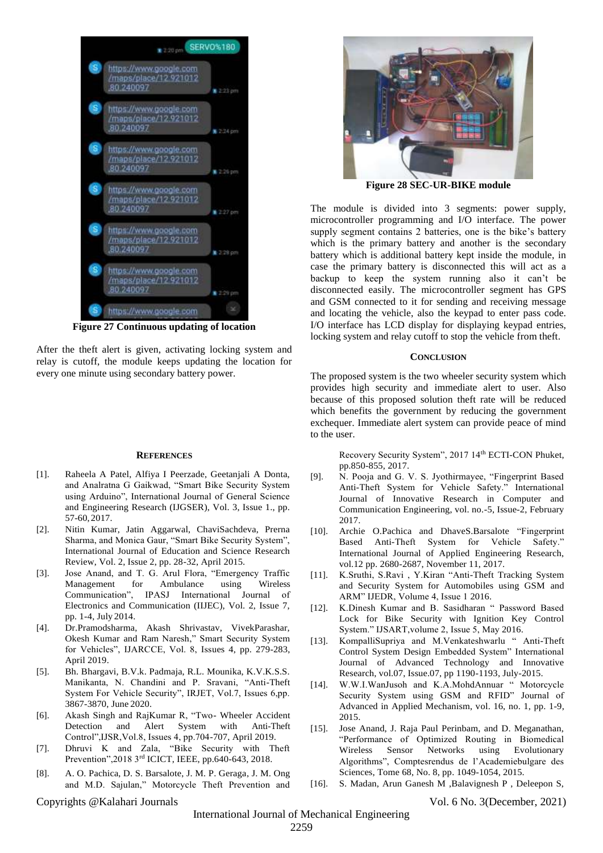

**Figure 27 Continuous updating of location**

After the theft alert is given, activating locking system and relay is cutoff, the module keeps updating the location for every one minute using secondary battery power.

#### **REFERENCES**

- [1]. Raheela A Patel, Alfiya I Peerzade, Geetanjali A Donta, and Analratna G Gaikwad, "Smart Bike Security System using Arduino", International Journal of General Science and Engineering Research (IJGSER), Vol. 3, Issue 1., pp. 57-60, 2017.
- [2]. Nitin Kumar, Jatin Aggarwal, ChaviSachdeva, Prerna Sharma, and Monica Gaur, "Smart Bike Security System", International Journal of Education and Science Research Review, Vol. 2, Issue 2, pp. 28-32, April 2015.
- [3]. Jose Anand, and T. G. Arul Flora, "Emergency Traffic Management for Ambulance using Wireless Communication", IPASJ International Journal of Electronics and Communication (IIJEC), Vol. 2, Issue 7, pp. 1-4, July 2014.
- [4]. Dr.Pramodsharma, Akash Shrivastav, VivekParashar, Okesh Kumar and Ram Naresh," Smart Security System for Vehicles", IJARCCE, Vol. 8, Issues 4, pp. 279-283, April 2019.
- [5]. Bh. Bhargavi, B.V.k. Padmaja, R.L. Mounika, K.V.K.S.S. Manikanta, N. Chandini and P. Sravani, "Anti-Theft System For Vehicle Security", IRJET, Vol.7, Issues 6,pp. 3867-3870, June 2020.
- [6]. Akash Singh and RajKumar R, "Two- Wheeler Accident Detection and Alert System with Anti-Theft Control",IJSR,Vol.8, Issues 4, pp.704-707, April 2019.
- [7]. Dhruvi K and Zala, "Bike Security with Theft Prevention",2018 3rd ICICT, IEEE, pp.640-643, 2018.
- [8]. A. O. Pachica, D. S. Barsalote, J. M. P. Geraga, J. M. Ong and M.D. Sajulan," Motorcycle Theft Prevention and



**Figure 28 SEC-UR-BIKE module**

The module is divided into 3 segments: power supply, microcontroller programming and I/O interface. The power supply segment contains 2 batteries, one is the bike's battery which is the primary battery and another is the secondary battery which is additional battery kept inside the module, in case the primary battery is disconnected this will act as a backup to keep the system running also it can't be disconnected easily. The microcontroller segment has GPS and GSM connected to it for sending and receiving message and locating the vehicle, also the keypad to enter pass code. I/O interface has LCD display for displaying keypad entries, locking system and relay cutoff to stop the vehicle from theft.

#### **CONCLUSION**

The proposed system is the two wheeler security system which provides high security and immediate alert to user. Also because of this proposed solution theft rate will be reduced which benefits the government by reducing the government exchequer. Immediate alert system can provide peace of mind to the user.

> Recovery Security System", 2017 14th ECTI-CON Phuket, pp.850-855, 2017.

- [9]. N. Pooja and G. V. S. Jyothirmayee, "Fingerprint Based Anti-Theft System for Vehicle Safety." International Journal of Innovative Research in Computer and Communication Engineering, vol. no.-5, Issue-2, February 2017.
- [10]. Archie O.Pachica and DhaveS.Barsalote "Fingerprint Based Anti-Theft System for Vehicle Safety." International Journal of Applied Engineering Research, vol.12 pp. 2680-2687, November 11, 2017.
- [11]. K.Sruthi, S.Ravi , Y.Kiran "Anti-Theft Tracking System and Security System for Automobiles using GSM and ARM" IJEDR, Volume 4, Issue 1 2016.
- [12]. K.Dinesh Kumar and B. Sasidharan " Password Based Lock for Bike Security with Ignition Key Control System." IJSART,volume 2, Issue 5, May 2016.
- [13]. KompalliSupriya and M.Venkateshwarlu " Anti-Theft Control System Design Embedded System" International Journal of Advanced Technology and Innovative Research, vol.07, Issue.07, pp 1190-1193, July-2015.
- [14]. W.W.I.WanJusoh and K.A.MohdAnnuar " Motorcycle Security System using GSM and RFID" Journal of Advanced in Applied Mechanism, vol. 16, no. 1, pp. 1-9, 2015.
- [15]. Jose Anand, J. Raja Paul Perinbam, and D. Meganathan, "Performance of Optimized Routing in Biomedical Wireless Sensor Networks using Evolutionary Algorithms", Comptesrendus de l'Academiebulgare des Sciences, Tome 68, No. 8, pp. 1049-1054, 2015.
- [16]. S. Madan, Arun Ganesh M ,Balavignesh P , Deleepon S,